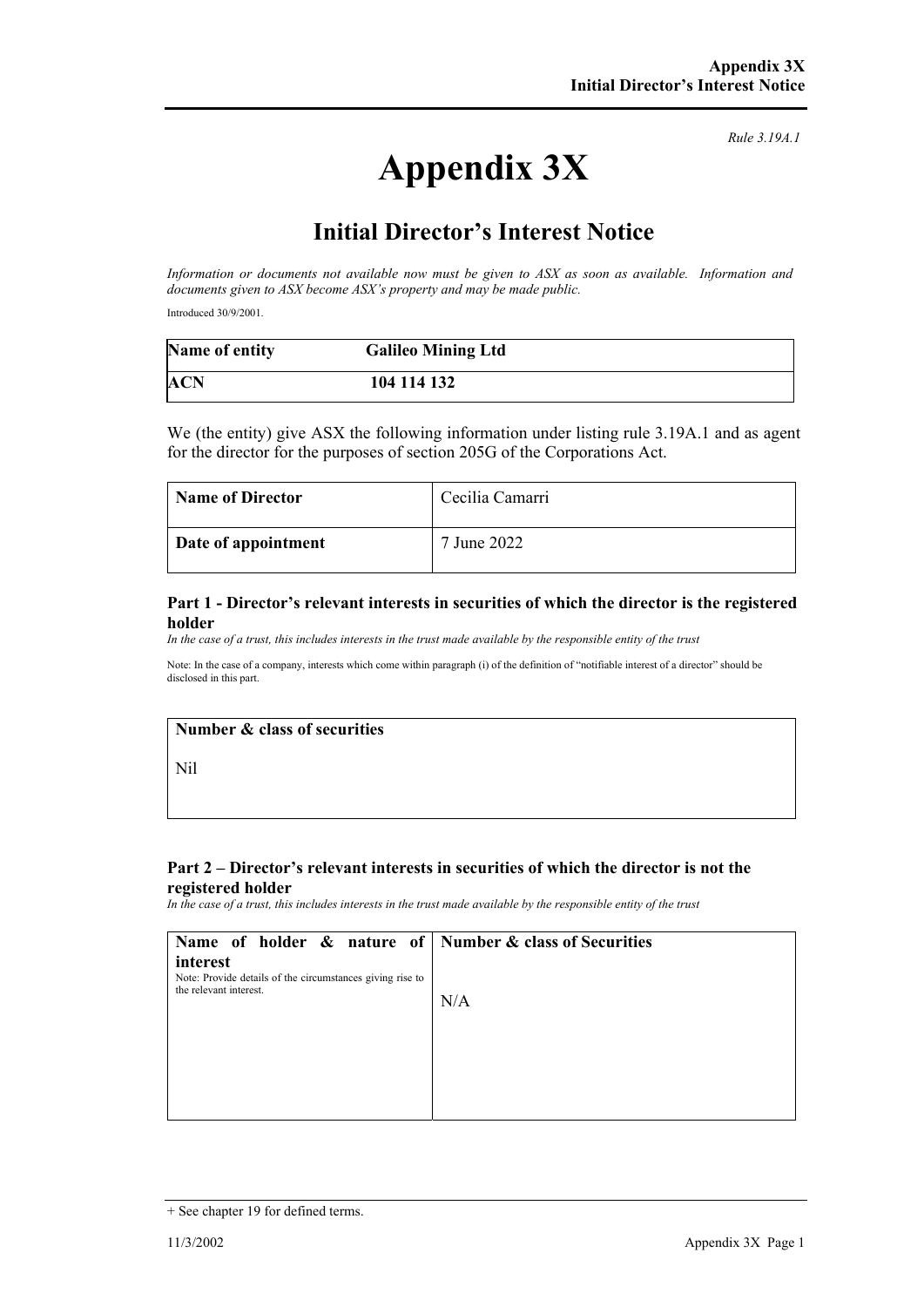# **Appendix 3X**

*Rule 3.19A.1*

## **Initial Director's Interest Notice**

*Information or documents not available now must be given to ASX as soon as available. Information and documents given to ASX become ASX's property and may be made public.* 

Introduced 30/9/2001.

| Name of entity | <b>Galileo Mining Ltd</b> |  |
|----------------|---------------------------|--|
| <b>ACN</b>     | 104 114 132               |  |

We (the entity) give ASX the following information under listing rule 3.19A.1 and as agent for the director for the purposes of section 205G of the Corporations Act.

| <b>Name of Director</b> | Cecilia Camarri |
|-------------------------|-----------------|
| Date of appointment     | 7 June 2022     |

#### **Part 1 - Director's relevant interests in securities of which the director is the registered holder**

*In the case of a trust, this includes interests in the trust made available by the responsible entity of the trust*

Note: In the case of a company, interests which come within paragraph (i) of the definition of "notifiable interest of a director" should be disclosed in this part.

#### **Number & class of securities**

Nil

#### **Part 2 – Director's relevant interests in securities of which the director is not the registered holder**

*In the case of a trust, this includes interests in the trust made available by the responsible entity of the trust*

| Name of holder $\&$ nature of Number $\&$ class of Securities                                   |     |
|-------------------------------------------------------------------------------------------------|-----|
| interest<br>Note: Provide details of the circumstances giving rise to<br>the relevant interest. | N/A |
|                                                                                                 |     |

<sup>+</sup> See chapter 19 for defined terms.